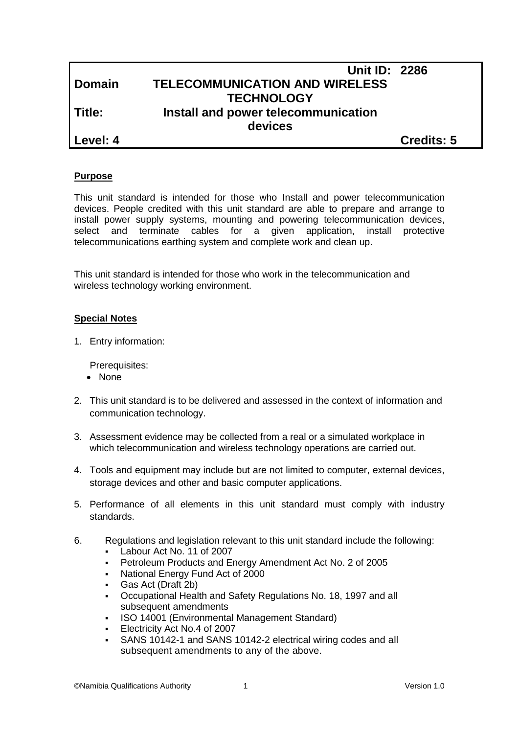|               | <b>Unit ID: 2286</b>                  |                   |
|---------------|---------------------------------------|-------------------|
| <b>Domain</b> | <b>TELECOMMUNICATION AND WIRELESS</b> |                   |
|               | <b>TECHNOLOGY</b>                     |                   |
| Title:        | Install and power telecommunication   |                   |
|               | devices                               |                   |
| Level: 4      |                                       | <b>Credits: 5</b> |

## **Purpose**

This unit standard is intended for those who Install and power telecommunication devices. People credited with this unit standard are able to prepare and arrange to install power supply systems, mounting and powering telecommunication devices, select and terminate cables for a given application, install protective telecommunications earthing system and complete work and clean up.

This unit standard is intended for those who work in the telecommunication and wireless technology working environment.

## **Special Notes**

1. Entry information:

Prerequisites:

- None
- 2. This unit standard is to be delivered and assessed in the context of information and communication technology.
- 3. Assessment evidence may be collected from a real or a simulated workplace in which telecommunication and wireless technology operations are carried out.
- 4. Tools and equipment may include but are not limited to computer, external devices, storage devices and other and basic computer applications.
- 5. Performance of all elements in this unit standard must comply with industry standards.
- 6. Regulations and legislation relevant to this unit standard include the following:
	- Labour Act No. 11 of 2007
	- Petroleum Products and Energy Amendment Act No. 2 of 2005
	- National Energy Fund Act of 2000
	- Gas Act (Draft 2b)
	- Occupational Health and Safety Regulations No. 18, 1997 and all subsequent amendments
	- ISO 14001 (Environmental Management Standard)
	- **Electricity Act No.4 of 2007**
	- SANS 10142-1 and SANS 10142-2 electrical wiring codes and all subsequent amendments to any of the above.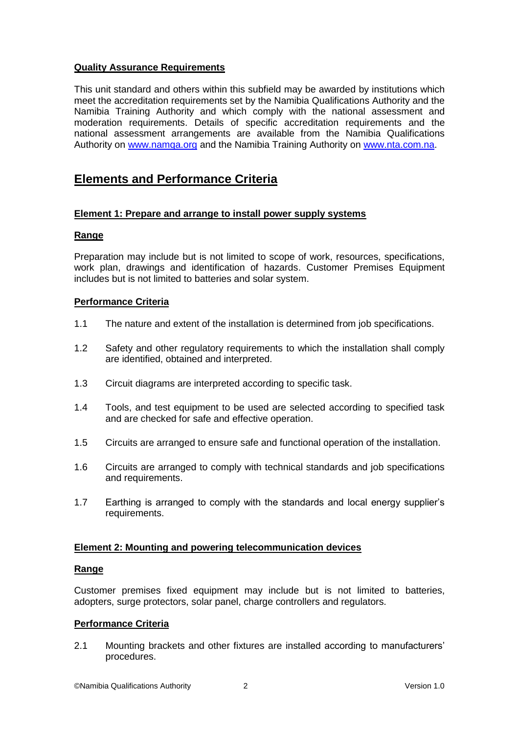# **Quality Assurance Requirements**

This unit standard and others within this subfield may be awarded by institutions which meet the accreditation requirements set by the Namibia Qualifications Authority and the Namibia Training Authority and which comply with the national assessment and moderation requirements. Details of specific accreditation requirements and the national assessment arrangements are available from the Namibia Qualifications Authority on [www.namqa.org](http://www.namqa.org/) and the Namibia Training Authority on [www.nta.com.na.](http://www.nta.com.na/)

# **Elements and Performance Criteria**

# **Element 1: Prepare and arrange to install power supply systems**

# **Range**

Preparation may include but is not limited to scope of work, resources, specifications, work plan, drawings and identification of hazards. Customer Premises Equipment includes but is not limited to batteries and solar system.

## **Performance Criteria**

- 1.1 The nature and extent of the installation is determined from job specifications.
- 1.2 Safety and other regulatory requirements to which the installation shall comply are identified, obtained and interpreted.
- 1.3 Circuit diagrams are interpreted according to specific task.
- 1.4 Tools, and test equipment to be used are selected according to specified task and are checked for safe and effective operation.
- 1.5 Circuits are arranged to ensure safe and functional operation of the installation.
- 1.6 Circuits are arranged to comply with technical standards and job specifications and requirements.
- 1.7 Earthing is arranged to comply with the standards and local energy supplier's requirements.

#### **Element 2: Mounting and powering telecommunication devices**

#### **Range**

Customer premises fixed equipment may include but is not limited to batteries, adopters, surge protectors, solar panel, charge controllers and regulators.

# **Performance Criteria**

2.1 Mounting brackets and other fixtures are installed according to manufacturers' procedures.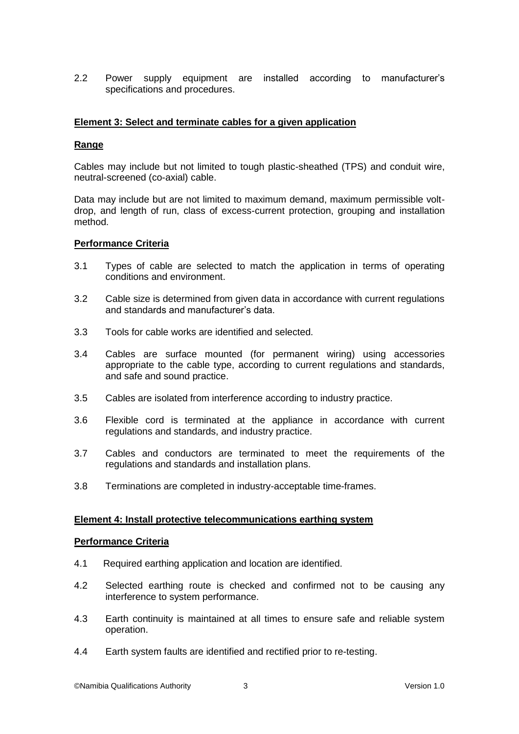2.2 Power supply equipment are installed according to manufacturer's specifications and procedures.

## **Element 3: Select and terminate cables for a given application**

## **Range**

Cables may include but not limited to tough plastic-sheathed (TPS) and conduit wire, neutral-screened (co-axial) cable.

Data may include but are not limited to maximum demand, maximum permissible voltdrop, and length of run, class of excess-current protection, grouping and installation method.

#### **Performance Criteria**

- 3.1 Types of cable are selected to match the application in terms of operating conditions and environment.
- 3.2 Cable size is determined from given data in accordance with current regulations and standards and manufacturer's data.
- 3.3 Tools for cable works are identified and selected.
- 3.4 Cables are surface mounted (for permanent wiring) using accessories appropriate to the cable type, according to current regulations and standards, and safe and sound practice.
- 3.5 Cables are isolated from interference according to industry practice.
- 3.6 Flexible cord is terminated at the appliance in accordance with current regulations and standards, and industry practice.
- 3.7 Cables and conductors are terminated to meet the requirements of the regulations and standards and installation plans.
- 3.8 Terminations are completed in industry-acceptable time-frames.

#### **Element 4: Install protective telecommunications earthing system**

#### **Performance Criteria**

- 4.1 Required earthing application and location are identified.
- 4.2 Selected earthing route is checked and confirmed not to be causing any interference to system performance.
- 4.3 Earth continuity is maintained at all times to ensure safe and reliable system operation.
- 4.4 Earth system faults are identified and rectified prior to re-testing.